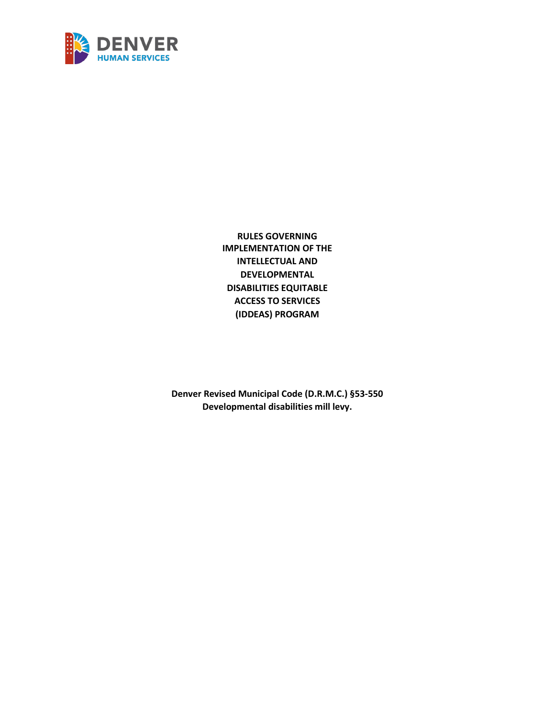

**RULES GOVERNING IMPLEMENTATION OF THE INTELLECTUAL AND DEVELOPMENTAL DISABILITIES EQUITABLE ACCESS TO SERVICES (IDDEAS) PROGRAM**

**Denver Revised Municipal Code (D.R.M.C.) §53-550 Developmental disabilities mill levy.**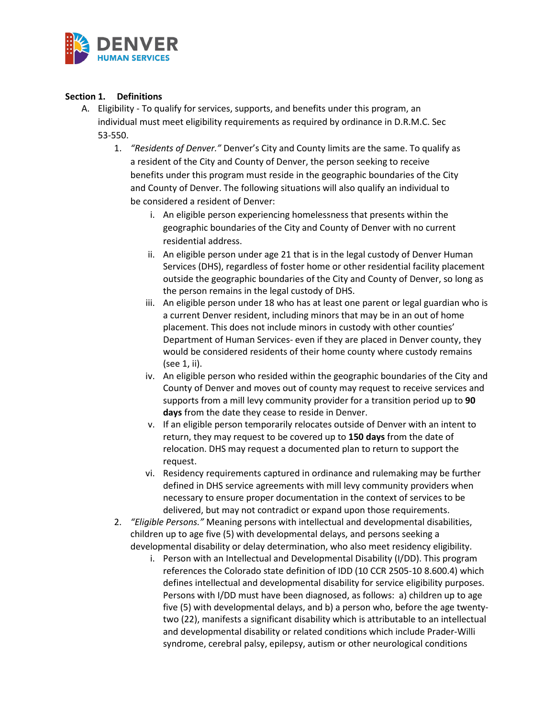

## **Section 1. Definitions**

- A. Eligibility To qualify for services, supports, and benefits under this program, an individual must meet eligibility requirements as required by ordinance in D.R.M.C. Sec 53-550.
	- 1. *"Residents of Denver."* Denver's City and County limits are the same. To qualify as a resident of the City and County of Denver, the person seeking to receive benefits under this program must reside in the geographic boundaries of the City and County of Denver. The following situations will also qualify an individual to be considered a resident of Denver:
		- i. An eligible person experiencing homelessness that presents within the geographic boundaries of the City and County of Denver with no current residential address.
		- ii. An eligible person under age 21 that is in the legal custody of Denver Human Services (DHS), regardless of foster home or other residential facility placement outside the geographic boundaries of the City and County of Denver, so long as the person remains in the legal custody of DHS.
		- iii. An eligible person under 18 who has at least one parent or legal guardian who is a current Denver resident, including minors that may be in an out of home placement. This does not include minors in custody with other counties' Department of Human Services- even if they are placed in Denver county, they would be considered residents of their home county where custody remains (see 1, ii).
		- iv. An eligible person who resided within the geographic boundaries of the City and County of Denver and moves out of county may request to receive services and supports from a mill levy community provider for a transition period up to **90 days** from the date they cease to reside in Denver.
		- v. If an eligible person temporarily relocates outside of Denver with an intent to return, they may request to be covered up to **150 days** from the date of relocation. DHS may request a documented plan to return to support the request.
		- vi. Residency requirements captured in ordinance and rulemaking may be further defined in DHS service agreements with mill levy community providers when necessary to ensure proper documentation in the context of services to be delivered, but may not contradict or expand upon those requirements.
	- 2. *"Eligible Persons."* Meaning persons with intellectual and developmental disabilities, children up to age five (5) with developmental delays, and persons seeking a developmental disability or delay determination, who also meet residency eligibility.
		- i. Person with an Intellectual and Developmental Disability (I/DD). This program references the Colorado state definition of IDD (10 CCR 2505-10 8.600.4) which defines intellectual and developmental disability for service eligibility purposes. Persons with I/DD must have been diagnosed, as follows: a) children up to age five (5) with developmental delays, and b) a person who, before the age twentytwo (22), manifests a significant disability which is attributable to an intellectual and developmental disability or related conditions which include Prader-Willi syndrome, cerebral palsy, epilepsy, autism or other neurological conditions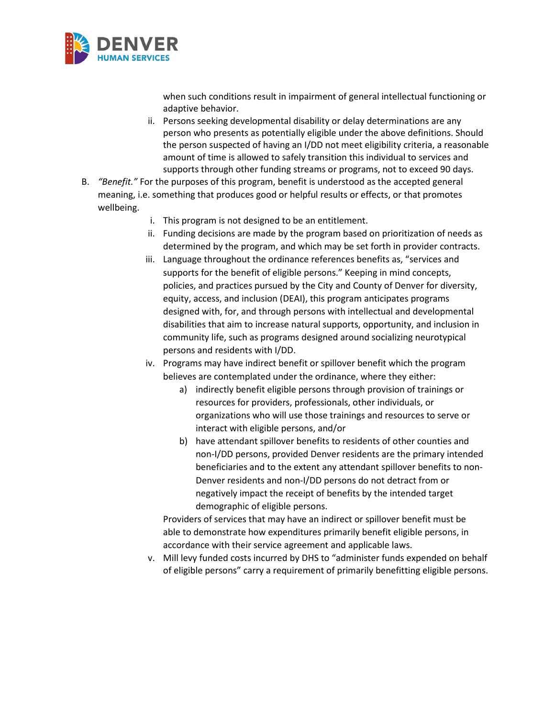

when such conditions result in impairment of general intellectual functioning or adaptive behavior.

- ii. Persons seeking developmental disability or delay determinations are any person who presents as potentially eligible under the above definitions. Should the person suspected of having an I/DD not meet eligibility criteria, a reasonable amount of time is allowed to safely transition this individual to services and supports through other funding streams or programs, not to exceed 90 days.
- B. *"Benefit."* For the purposes of this program, benefit is understood as the accepted general meaning, i.e. something that produces good or helpful results or effects, or that promotes wellbeing.
	- i. This program is not designed to be an entitlement.
	- ii. Funding decisions are made by the program based on prioritization of needs as determined by the program, and which may be set forth in provider contracts.
	- iii. Language throughout the ordinance references benefits as, "services and supports for the benefit of eligible persons." Keeping in mind concepts, policies, and practices pursued by the City and County of Denver for diversity, equity, access, and inclusion (DEAI), this program anticipates programs designed with, for, and through persons with intellectual and developmental disabilities that aim to increase natural supports, opportunity, and inclusion in community life, such as programs designed around socializing neurotypical persons and residents with I/DD.
	- iv. Programs may have indirect benefit or spillover benefit which the program believes are contemplated under the ordinance, where they either:
		- a) indirectly benefit eligible persons through provision of trainings or resources for providers, professionals, other individuals, or organizations who will use those trainings and resources to serve or interact with eligible persons, and/or
		- b) have attendant spillover benefits to residents of other counties and non-I/DD persons, provided Denver residents are the primary intended beneficiaries and to the extent any attendant spillover benefits to non-Denver residents and non-I/DD persons do not detract from or negatively impact the receipt of benefits by the intended target demographic of eligible persons.

Providers of services that may have an indirect or spillover benefit must be able to demonstrate how expenditures primarily benefit eligible persons, in accordance with their service agreement and applicable laws.

v. Mill levy funded costs incurred by DHS to "administer funds expended on behalf of eligible persons" carry a requirement of primarily benefitting eligible persons.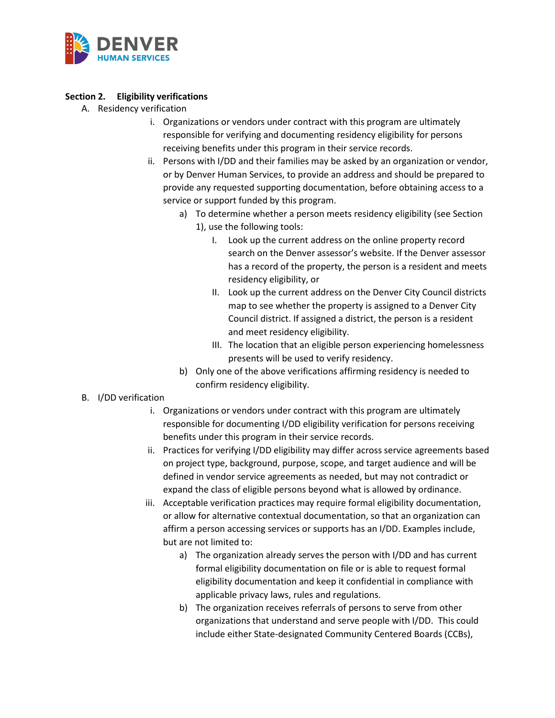

## **Section 2. Eligibility verifications**

- A. Residency verification
	- i. Organizations or vendors under contract with this program are ultimately responsible for verifying and documenting residency eligibility for persons receiving benefits under this program in their service records.
	- ii. Persons with I/DD and their families may be asked by an organization or vendor, or by Denver Human Services, to provide an address and should be prepared to provide any requested supporting documentation, before obtaining access to a service or support funded by this program.
		- a) To determine whether a person meets residency eligibility (see Section 1), use the following tools:
			- I. Look up the current address on the online property record search on the Denver assessor's website. If the Denver assessor has a record of the property, the person is a resident and meets residency eligibility, or
			- II. Look up the current address on the Denver City Council districts map to see whether the property is assigned to a Denver City Council district. If assigned a district, the person is a resident and meet residency eligibility.
			- III. The location that an eligible person experiencing homelessness presents will be used to verify residency.
		- b) Only one of the above verifications affirming residency is needed to confirm residency eligibility.
- B. I/DD verification
	- i. Organizations or vendors under contract with this program are ultimately responsible for documenting I/DD eligibility verification for persons receiving benefits under this program in their service records.
	- ii. Practices for verifying I/DD eligibility may differ across service agreements based on project type, background, purpose, scope, and target audience and will be defined in vendor service agreements as needed, but may not contradict or expand the class of eligible persons beyond what is allowed by ordinance.
	- iii. Acceptable verification practices may require formal eligibility documentation, or allow for alternative contextual documentation, so that an organization can affirm a person accessing services or supports has an I/DD. Examples include, but are not limited to:
		- a) The organization already serves the person with I/DD and has current formal eligibility documentation on file or is able to request formal eligibility documentation and keep it confidential in compliance with applicable privacy laws, rules and regulations.
		- b) The organization receives referrals of persons to serve from other organizations that understand and serve people with I/DD. This could include either State-designated Community Centered Boards (CCBs),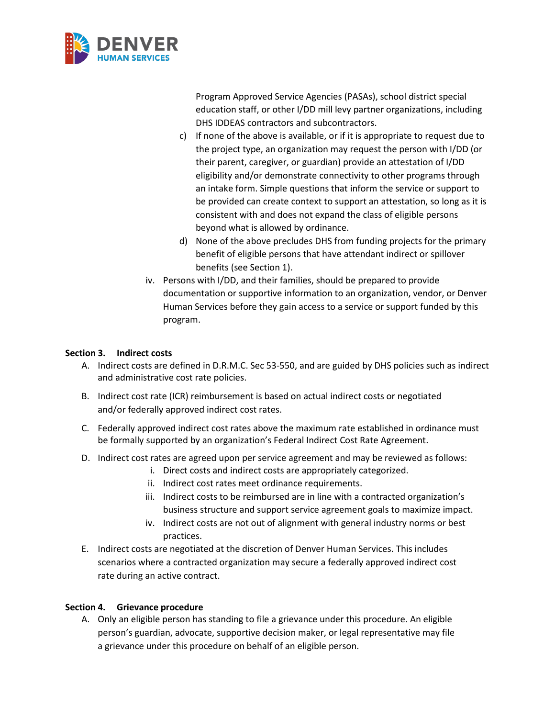

Program Approved Service Agencies (PASAs), school district special education staff, or other I/DD mill levy partner organizations, including DHS IDDEAS contractors and subcontractors.

- c) If none of the above is available, or if it is appropriate to request due to the project type, an organization may request the person with I/DD (or their parent, caregiver, or guardian) provide an attestation of I/DD eligibility and/or demonstrate connectivity to other programs through an intake form. Simple questions that inform the service or support to be provided can create context to support an attestation, so long as it is consistent with and does not expand the class of eligible persons beyond what is allowed by ordinance.
- d) None of the above precludes DHS from funding projects for the primary benefit of eligible persons that have attendant indirect or spillover benefits (see Section 1).
- iv. Persons with I/DD, and their families, should be prepared to provide documentation or supportive information to an organization, vendor, or Denver Human Services before they gain access to a service or support funded by this program.

## **Section 3. Indirect costs**

- A. Indirect costs are defined in D.R.M.C. Sec 53-550, and are guided by DHS policies such as indirect and administrative cost rate policies.
- B. Indirect cost rate (ICR) reimbursement is based on actual indirect costs or negotiated and/or federally approved indirect cost rates.
- C. Federally approved indirect cost rates above the maximum rate established in ordinance must be formally supported by an organization's Federal Indirect Cost Rate Agreement.
- D. Indirect cost rates are agreed upon per service agreement and may be reviewed as follows:
	- i. Direct costs and indirect costs are appropriately categorized.
	- ii. Indirect cost rates meet ordinance requirements.
	- iii. Indirect costs to be reimbursed are in line with a contracted organization's business structure and support service agreement goals to maximize impact.
	- iv. Indirect costs are not out of alignment with general industry norms or best practices.
- E. Indirect costs are negotiated at the discretion of Denver Human Services. This includes scenarios where a contracted organization may secure a federally approved indirect cost rate during an active contract.

## **Section 4. Grievance procedure**

A. Only an eligible person has standing to file a grievance under this procedure. An eligible person's guardian, advocate, supportive decision maker, or legal representative may file a grievance under this procedure on behalf of an eligible person.